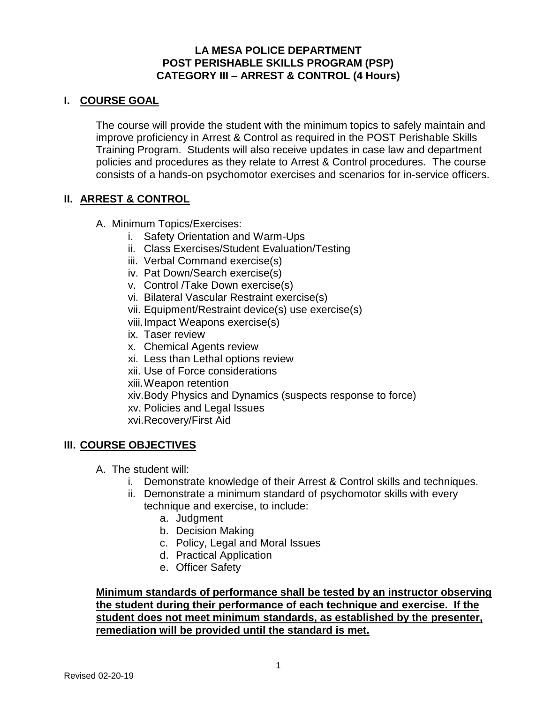### **LA MESA POLICE DEPARTMENT POST PERISHABLE SKILLS PROGRAM (PSP) CATEGORY III – ARREST & CONTROL (4 Hours)**

## **I. COURSE GOAL**

The course will provide the student with the minimum topics to safely maintain and improve proficiency in Arrest & Control as required in the POST Perishable Skills Training Program. Students will also receive updates in case law and department policies and procedures as they relate to Arrest & Control procedures. The course consists of a hands-on psychomotor exercises and scenarios for in-service officers.

## **II. ARREST & CONTROL**

- A. Minimum Topics/Exercises:
	- i. Safety Orientation and Warm-Ups
	- ii. Class Exercises/Student Evaluation/Testing
	- iii. Verbal Command exercise(s)
	- iv. Pat Down/Search exercise(s)
	- v. Control /Take Down exercise(s)
	- vi. Bilateral Vascular Restraint exercise(s)
	- vii. Equipment/Restraint device(s) use exercise(s)
	- viii.Impact Weapons exercise(s)
	- ix. Taser review
	- x. Chemical Agents review
	- xi. Less than Lethal options review
	- xii. Use of Force considerations
	- xiii.Weapon retention
	- xiv.Body Physics and Dynamics (suspects response to force)
	- xv. Policies and Legal Issues
	- xvi.Recovery/First Aid

#### **III. COURSE OBJECTIVES**

- A. The student will:
	- i. Demonstrate knowledge of their Arrest & Control skills and techniques.
	- ii. Demonstrate a minimum standard of psychomotor skills with every technique and exercise, to include:
		- a. Judgment
		- b. Decision Making
		- c. Policy, Legal and Moral Issues
		- d. Practical Application
		- e. Officer Safety

## **Minimum standards of performance shall be tested by an instructor observing the student during their performance of each technique and exercise. If the student does not meet minimum standards, as established by the presenter, remediation will be provided until the standard is met.**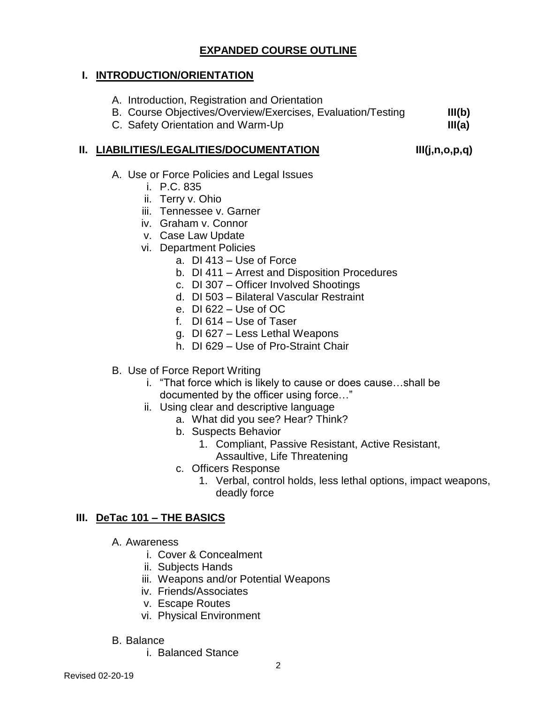# **EXPANDED COURSE OUTLINE**

#### **I. INTRODUCTION/ORIENTATION**

- A. Introduction, Registration and Orientation
- B. Course Objectives/Overview/Exercises, Evaluation/Testing **III(b)**
- C. Safety Orientation and Warm-Up **III(a)**

### **II. LIABILITIES/LEGALITIES/DOCUMENTATION III(j,n,o,p,q)**

- A. Use or Force Policies and Legal Issues
	- i. P.C. 835
	- ii. Terry v. Ohio
	- iii. Tennessee v. Garner
	- iv. Graham v. Connor
	- v. Case Law Update
	- vi. Department Policies
		- a. DI 413 Use of Force
			- b. DI 411 Arrest and Disposition Procedures
			- c. DI 307 Officer Involved Shootings
			- d. DI 503 Bilateral Vascular Restraint
			- e. DI 622 Use of OC
			- f. DI 614 Use of Taser
			- g. DI 627 Less Lethal Weapons
			- h. DI 629 Use of Pro-Straint Chair
- B. Use of Force Report Writing
	- i. "That force which is likely to cause or does cause…shall be documented by the officer using force…"
	- ii. Using clear and descriptive language
		- a. What did you see? Hear? Think?
		- b. Suspects Behavior
			- 1. Compliant, Passive Resistant, Active Resistant, Assaultive, Life Threatening
		- c. Officers Response
			- 1. Verbal, control holds, less lethal options, impact weapons, deadly force

## **III. DeTac 101 – THE BASICS**

- A. Awareness
	- i. Cover & Concealment
	- ii. Subjects Hands
	- iii. Weapons and/or Potential Weapons
	- iv. Friends/Associates
	- v. Escape Routes
	- vi. Physical Environment
- B. Balance
	- i. Balanced Stance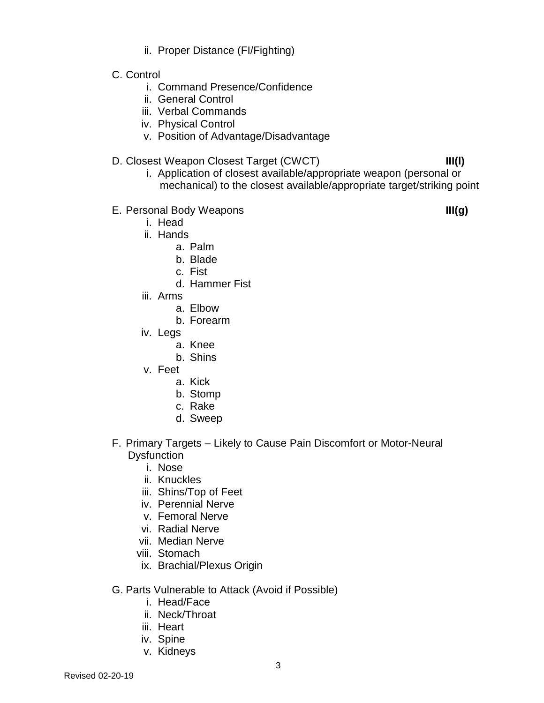- ii. Proper Distance (FI/Fighting)
- C. Control
	- i. Command Presence/Confidence
	- ii. General Control
	- iii. Verbal Commands
	- iv. Physical Control
	- v. Position of Advantage/Disadvantage
- D. Closest Weapon Closest Target (CWCT) **III(l)**
	- i. Application of closest available/appropriate weapon (personal or mechanical) to the closest available/appropriate target/striking point
- E. Personal Body Weapons **III(g)**
	- i. Head
	- ii. Hands
		- a. Palm
			- b. Blade
			- c. Fist
		- d. Hammer Fist
	- iii. Arms
		- a. Elbow
		- b. Forearm
	- iv. Legs
		- a. Knee
		- b. Shins
	- v. Feet
		- a. Kick
		- b. Stomp
		- c. Rake
		- d. Sweep
- F. Primary Targets Likely to Cause Pain Discomfort or Motor-Neural **Dysfunction** 
	- i. Nose
	- ii. Knuckles
	- iii. Shins/Top of Feet
	- iv. Perennial Nerve
	- v. Femoral Nerve
	- vi. Radial Nerve
	- vii. Median Nerve
	- viii. Stomach
	- ix. Brachial/Plexus Origin
- G. Parts Vulnerable to Attack (Avoid if Possible)
	- i. Head/Face
	- ii. Neck/Throat
	- iii. Heart
	- iv. Spine
	- v. Kidneys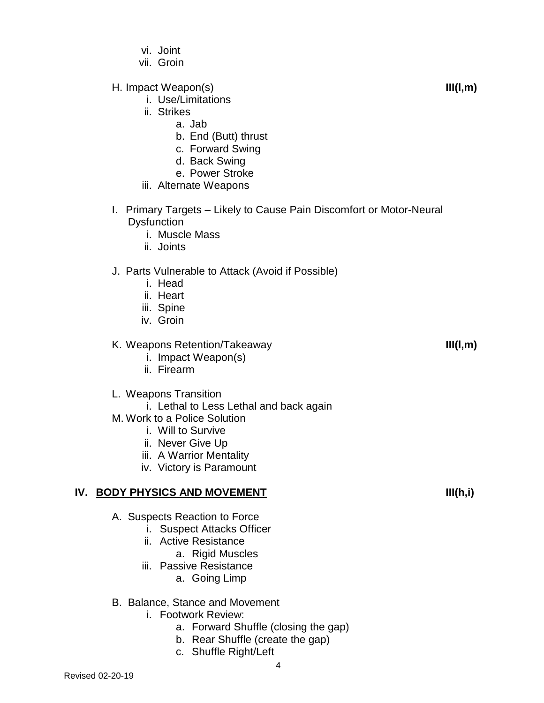- vi. Joint
- vii. Groin
- H. Impact Weapon(s) **III(l,m)**
	- i. Use/Limitations
	- ii. Strikes
		- a. Jab
		- b. End (Butt) thrust
		- c. Forward Swing
		- d. Back Swing
		- e. Power Stroke
	- iii. Alternate Weapons
- I. Primary Targets Likely to Cause Pain Discomfort or Motor-Neural **Dysfunction** 
	- i. Muscle Mass
	- ii. Joints

## J. Parts Vulnerable to Attack (Avoid if Possible)

- i. Head
- ii. Heart
- iii. Spine
- iv. Groin

## K. Weapons Retention/Takeaway **III(l,m)**

- i. Impact Weapon(s)
- ii. Firearm

#### L. Weapons Transition

- i. Lethal to Less Lethal and back again
- M. Work to a Police Solution
	- i. Will to Survive
	- ii. Never Give Up
	- iii. A Warrior Mentality
	- iv. Victory is Paramount

## **IV. BODY PHYSICS AND MOVEMENT III(h,i)**

- A. Suspects Reaction to Force
	- i. Suspect Attacks Officer
	- ii. Active Resistance
		- a. Rigid Muscles
	- iii. Passive Resistance

## a. Going Limp

- B. Balance, Stance and Movement
	- i. Footwork Review:
		- a. Forward Shuffle (closing the gap)
		- b. Rear Shuffle (create the gap)
		- c. Shuffle Right/Left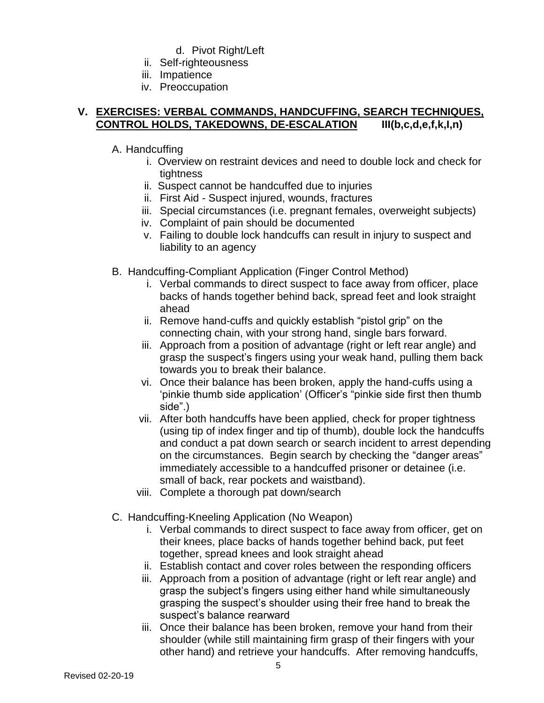- d. Pivot Right/Left
- ii. Self-righteousness
- iii. Impatience
- iv. Preoccupation

#### **V. EXERCISES: VERBAL COMMANDS, HANDCUFFING, SEARCH TECHNIQUES, CONTROL HOLDS, TAKEDOWNS, DE-ESCALATION III(b,c,d,e,f,k,I,n)**

- A. Handcuffing
	- i. Overview on restraint devices and need to double lock and check for tightness
	- ii. Suspect cannot be handcuffed due to injuries
	- ii. First Aid Suspect injured, wounds, fractures
	- iii. Special circumstances (i.e. pregnant females, overweight subjects)
	- iv. Complaint of pain should be documented
	- v. Failing to double lock handcuffs can result in injury to suspect and liability to an agency
- B. Handcuffing-Compliant Application (Finger Control Method)
	- i. Verbal commands to direct suspect to face away from officer, place backs of hands together behind back, spread feet and look straight ahead
	- ii. Remove hand-cuffs and quickly establish "pistol grip" on the connecting chain, with your strong hand, single bars forward.
	- iii. Approach from a position of advantage (right or left rear angle) and grasp the suspect's fingers using your weak hand, pulling them back towards you to break their balance.
	- vi. Once their balance has been broken, apply the hand-cuffs using a 'pinkie thumb side application' (Officer's "pinkie side first then thumb side".)
	- vii. After both handcuffs have been applied, check for proper tightness (using tip of index finger and tip of thumb), double lock the handcuffs and conduct a pat down search or search incident to arrest depending on the circumstances. Begin search by checking the "danger areas" immediately accessible to a handcuffed prisoner or detainee (i.e. small of back, rear pockets and waistband).
	- viii. Complete a thorough pat down/search
- C. Handcuffing-Kneeling Application (No Weapon)
	- i. Verbal commands to direct suspect to face away from officer, get on their knees, place backs of hands together behind back, put feet together, spread knees and look straight ahead
	- ii. Establish contact and cover roles between the responding officers
	- iii. Approach from a position of advantage (right or left rear angle) and grasp the subject's fingers using either hand while simultaneously grasping the suspect's shoulder using their free hand to break the suspect's balance rearward
	- iii. Once their balance has been broken, remove your hand from their shoulder (while still maintaining firm grasp of their fingers with your other hand) and retrieve your handcuffs. After removing handcuffs,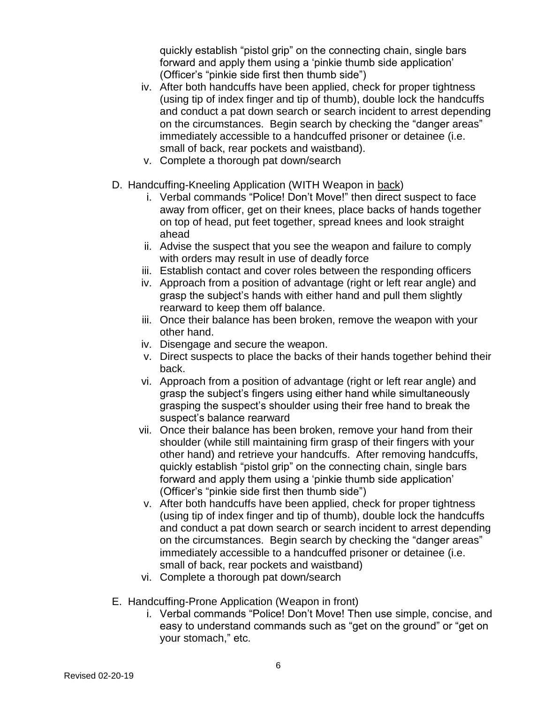quickly establish "pistol grip" on the connecting chain, single bars forward and apply them using a 'pinkie thumb side application' (Officer's "pinkie side first then thumb side")

- iv. After both handcuffs have been applied, check for proper tightness (using tip of index finger and tip of thumb), double lock the handcuffs and conduct a pat down search or search incident to arrest depending on the circumstances. Begin search by checking the "danger areas" immediately accessible to a handcuffed prisoner or detainee (i.e. small of back, rear pockets and waistband).
- v. Complete a thorough pat down/search
- D. Handcuffing-Kneeling Application (WITH Weapon in back)
	- i. Verbal commands "Police! Don't Move!" then direct suspect to face away from officer, get on their knees, place backs of hands together on top of head, put feet together, spread knees and look straight ahead
	- ii. Advise the suspect that you see the weapon and failure to comply with orders may result in use of deadly force
	- iii. Establish contact and cover roles between the responding officers
	- iv. Approach from a position of advantage (right or left rear angle) and grasp the subject's hands with either hand and pull them slightly rearward to keep them off balance.
	- iii. Once their balance has been broken, remove the weapon with your other hand.
	- iv. Disengage and secure the weapon.
	- v. Direct suspects to place the backs of their hands together behind their back.
	- vi. Approach from a position of advantage (right or left rear angle) and grasp the subject's fingers using either hand while simultaneously grasping the suspect's shoulder using their free hand to break the suspect's balance rearward
	- vii. Once their balance has been broken, remove your hand from their shoulder (while still maintaining firm grasp of their fingers with your other hand) and retrieve your handcuffs. After removing handcuffs, quickly establish "pistol grip" on the connecting chain, single bars forward and apply them using a 'pinkie thumb side application' (Officer's "pinkie side first then thumb side")
	- v. After both handcuffs have been applied, check for proper tightness (using tip of index finger and tip of thumb), double lock the handcuffs and conduct a pat down search or search incident to arrest depending on the circumstances. Begin search by checking the "danger areas" immediately accessible to a handcuffed prisoner or detainee (i.e. small of back, rear pockets and waistband)
	- vi. Complete a thorough pat down/search
- E. Handcuffing-Prone Application (Weapon in front)
	- i. Verbal commands "Police! Don't Move! Then use simple, concise, and easy to understand commands such as "get on the ground" or "get on your stomach," etc.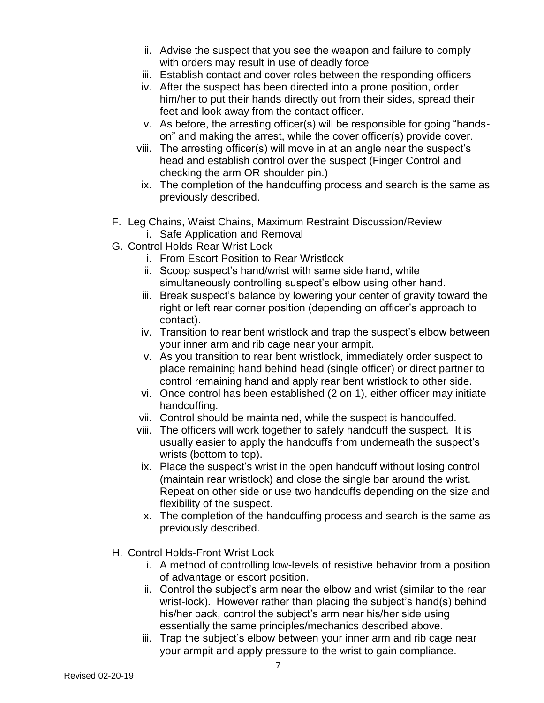- ii. Advise the suspect that you see the weapon and failure to comply with orders may result in use of deadly force
- iii. Establish contact and cover roles between the responding officers
- iv. After the suspect has been directed into a prone position, order him/her to put their hands directly out from their sides, spread their feet and look away from the contact officer.
- v. As before, the arresting officer(s) will be responsible for going "handson" and making the arrest, while the cover officer(s) provide cover.
- viii. The arresting officer(s) will move in at an angle near the suspect's head and establish control over the suspect (Finger Control and checking the arm OR shoulder pin.)
- ix. The completion of the handcuffing process and search is the same as previously described.
- F. Leg Chains, Waist Chains, Maximum Restraint Discussion/Review i. Safe Application and Removal
- G. Control Holds-Rear Wrist Lock
	- i. From Escort Position to Rear Wristlock
	- ii. Scoop suspect's hand/wrist with same side hand, while simultaneously controlling suspect's elbow using other hand.
	- iii. Break suspect's balance by lowering your center of gravity toward the right or left rear corner position (depending on officer's approach to contact).
	- iv. Transition to rear bent wristlock and trap the suspect's elbow between your inner arm and rib cage near your armpit.
	- v. As you transition to rear bent wristlock, immediately order suspect to place remaining hand behind head (single officer) or direct partner to control remaining hand and apply rear bent wristlock to other side.
	- vi. Once control has been established (2 on 1), either officer may initiate handcuffing.
	- vii. Control should be maintained, while the suspect is handcuffed.
	- viii. The officers will work together to safely handcuff the suspect. It is usually easier to apply the handcuffs from underneath the suspect's wrists (bottom to top).
	- ix. Place the suspect's wrist in the open handcuff without losing control (maintain rear wristlock) and close the single bar around the wrist. Repeat on other side or use two handcuffs depending on the size and flexibility of the suspect.
	- x. The completion of the handcuffing process and search is the same as previously described.
- H. Control Holds-Front Wrist Lock
	- i. A method of controlling low-levels of resistive behavior from a position of advantage or escort position.
	- ii. Control the subject's arm near the elbow and wrist (similar to the rear wrist-lock). However rather than placing the subject's hand(s) behind his/her back, control the subject's arm near his/her side using essentially the same principles/mechanics described above.
	- iii. Trap the subject's elbow between your inner arm and rib cage near your armpit and apply pressure to the wrist to gain compliance.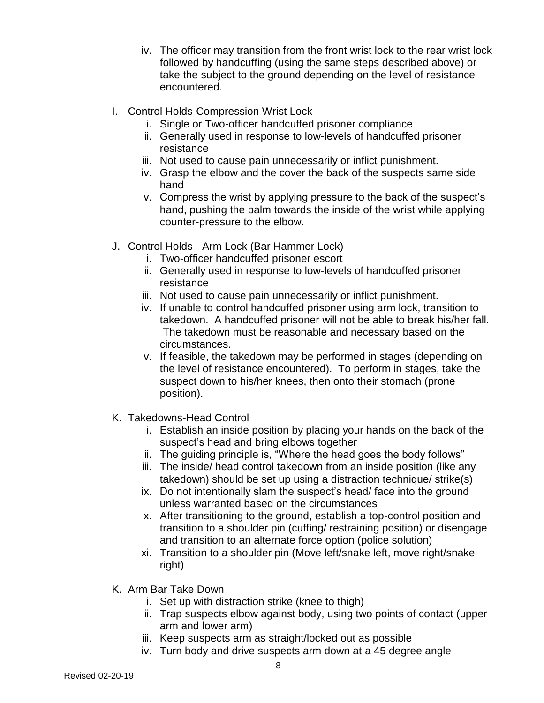- iv. The officer may transition from the front wrist lock to the rear wrist lock followed by handcuffing (using the same steps described above) or take the subject to the ground depending on the level of resistance encountered.
- I. Control Holds-Compression Wrist Lock
	- i. Single or Two-officer handcuffed prisoner compliance
	- ii. Generally used in response to low-levels of handcuffed prisoner resistance
	- iii. Not used to cause pain unnecessarily or inflict punishment.
	- iv. Grasp the elbow and the cover the back of the suspects same side hand
	- v. Compress the wrist by applying pressure to the back of the suspect's hand, pushing the palm towards the inside of the wrist while applying counter-pressure to the elbow.
- J. Control Holds Arm Lock (Bar Hammer Lock)
	- i. Two-officer handcuffed prisoner escort
	- ii. Generally used in response to low-levels of handcuffed prisoner resistance
	- iii. Not used to cause pain unnecessarily or inflict punishment.
	- iv. If unable to control handcuffed prisoner using arm lock, transition to takedown. A handcuffed prisoner will not be able to break his/her fall. The takedown must be reasonable and necessary based on the circumstances.
	- v. If feasible, the takedown may be performed in stages (depending on the level of resistance encountered). To perform in stages, take the suspect down to his/her knees, then onto their stomach (prone position).
- K. Takedowns-Head Control
	- i. Establish an inside position by placing your hands on the back of the suspect's head and bring elbows together
	- ii. The guiding principle is, "Where the head goes the body follows"
	- iii. The inside/ head control takedown from an inside position (like any takedown) should be set up using a distraction technique/ strike(s)
	- ix. Do not intentionally slam the suspect's head/ face into the ground unless warranted based on the circumstances
	- x. After transitioning to the ground, establish a top-control position and transition to a shoulder pin (cuffing/ restraining position) or disengage and transition to an alternate force option (police solution)
	- xi. Transition to a shoulder pin (Move left/snake left, move right/snake right)
- K. Arm Bar Take Down
	- i. Set up with distraction strike (knee to thigh)
	- ii. Trap suspects elbow against body, using two points of contact (upper arm and lower arm)
	- iii. Keep suspects arm as straight/locked out as possible
	- iv. Turn body and drive suspects arm down at a 45 degree angle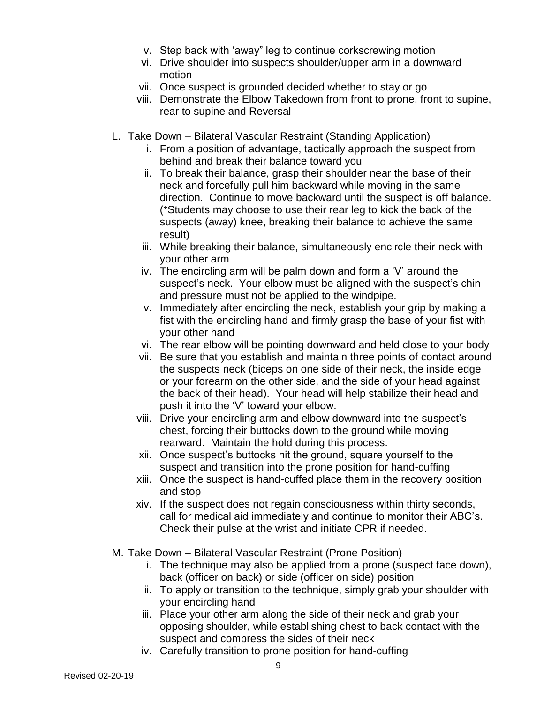- v. Step back with 'away" leg to continue corkscrewing motion
- vi. Drive shoulder into suspects shoulder/upper arm in a downward motion
- vii. Once suspect is grounded decided whether to stay or go
- viii. Demonstrate the Elbow Takedown from front to prone, front to supine, rear to supine and Reversal
- L. Take Down Bilateral Vascular Restraint (Standing Application)
	- i. From a position of advantage, tactically approach the suspect from behind and break their balance toward you
	- ii. To break their balance, grasp their shoulder near the base of their neck and forcefully pull him backward while moving in the same direction. Continue to move backward until the suspect is off balance. (\*Students may choose to use their rear leg to kick the back of the suspects (away) knee, breaking their balance to achieve the same result)
	- iii. While breaking their balance, simultaneously encircle their neck with your other arm
	- iv. The encircling arm will be palm down and form a 'V' around the suspect's neck. Your elbow must be aligned with the suspect's chin and pressure must not be applied to the windpipe.
	- v. Immediately after encircling the neck, establish your grip by making a fist with the encircling hand and firmly grasp the base of your fist with your other hand
	- vi. The rear elbow will be pointing downward and held close to your body
	- vii. Be sure that you establish and maintain three points of contact around the suspects neck (biceps on one side of their neck, the inside edge or your forearm on the other side, and the side of your head against the back of their head). Your head will help stabilize their head and push it into the 'V' toward your elbow.
	- viii. Drive your encircling arm and elbow downward into the suspect's chest, forcing their buttocks down to the ground while moving rearward. Maintain the hold during this process.
	- xii. Once suspect's buttocks hit the ground, square yourself to the suspect and transition into the prone position for hand-cuffing
	- xiii. Once the suspect is hand-cuffed place them in the recovery position and stop
	- xiv. If the suspect does not regain consciousness within thirty seconds, call for medical aid immediately and continue to monitor their ABC's. Check their pulse at the wrist and initiate CPR if needed.
- M. Take Down Bilateral Vascular Restraint (Prone Position)
	- i. The technique may also be applied from a prone (suspect face down), back (officer on back) or side (officer on side) position
	- ii. To apply or transition to the technique, simply grab your shoulder with your encircling hand
	- iii. Place your other arm along the side of their neck and grab your opposing shoulder, while establishing chest to back contact with the suspect and compress the sides of their neck
	- iv. Carefully transition to prone position for hand-cuffing